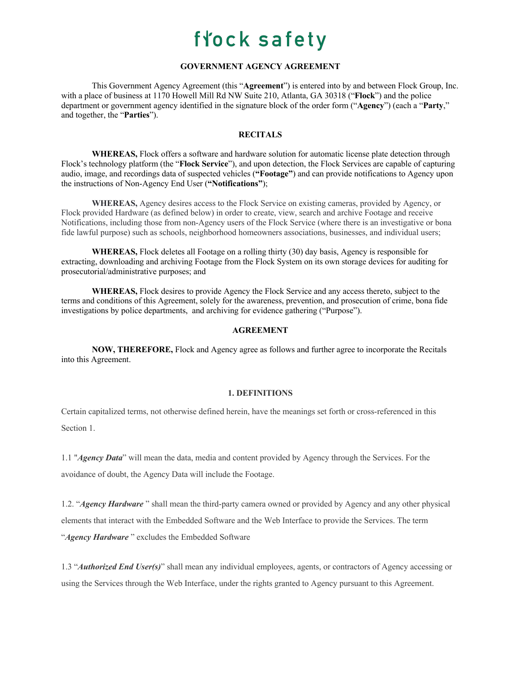### **GOVERNMENT AGENCY AGREEMENT**

This Government Agency Agreement (this "**Agreement**") is entered into by and between Flock Group, Inc. with a place of business at 1170 Howell Mill Rd NW Suite 210, Atlanta, GA 30318 ("**Flock**") and the police department or government agency identified in the signature block of the order form ("**Agency**") (each a "**Party**," and together, the "**Parties**").

### **RECITALS**

**WHEREAS,** Flock offers a software and hardware solution for automatic license plate detection through Flock's technology platform (the "**Flock Service**"), and upon detection, the Flock Services are capable of capturing audio, image, and recordings data of suspected vehicles (**"Footage"**) and can provide notifications to Agency upon the instructions of Non-Agency End User (**"Notifications"**);

**WHEREAS,** Agency desires access to the Flock Service on existing cameras, provided by Agency, or Flock provided Hardware (as defined below) in order to create, view, search and archive Footage and receive Notifications, including those from non-Agency users of the Flock Service (where there is an investigative or bona fide lawful purpose) such as schools, neighborhood homeowners associations, businesses, and individual users;

**WHEREAS,** Flock deletes all Footage on a rolling thirty (30) day basis, Agency is responsible for extracting, downloading and archiving Footage from the Flock System on its own storage devices for auditing for prosecutorial/administrative purposes; and

**WHEREAS,** Flock desires to provide Agency the Flock Service and any access thereto, subject to the terms and conditions of this Agreement, solely for the awareness, prevention, and prosecution of crime, bona fide investigations by police departments, and archiving for evidence gathering ("Purpose").

#### **AGREEMENT**

**NOW, THEREFORE,** Flock and Agency agree as follows and further agree to incorporate the Recitals into this Agreement.

#### **1. DEFINITIONS**

Certain capitalized terms, not otherwise defined herein, have the meanings set forth or cross-referenced in this Section 1.

1.1 "*Agency Data*" will mean the data, media and content provided by Agency through the Services. For the avoidance of doubt, the Agency Data will include the Footage.

1.2. "*Agency Hardware* " shall mean the third-party camera owned or provided by Agency and any other physical elements that interact with the Embedded Software and the Web Interface to provide the Services. The term "*Agency Hardware* " excludes the Embedded Software

1.3 "*Authorized End User(s)*" shall mean any individual employees, agents, or contractors of Agency accessing or using the Services through the Web Interface, under the rights granted to Agency pursuant to this Agreement.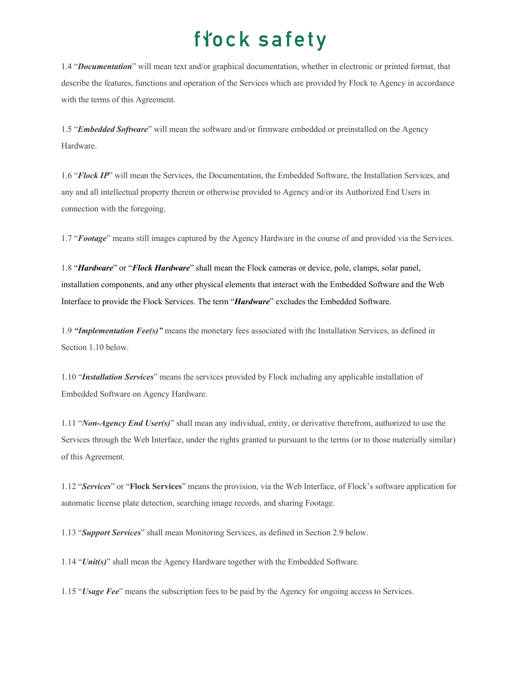1.4 "*Documentation*" will mean text and/or graphical documentation, whether in electronic or printed format, that describe the features, functions and operation of the Services which are provided by Flock to Agency in accordance with the terms of this Agreement.

1.5 "*Embedded Software*" will mean the software and/or firmware embedded or preinstalled on the Agency Hardware.

1.6 "*Flock IP*" will mean the Services, the Documentation, the Embedded Software, the Installation Services, and any and all intellectual property therein or otherwise provided to Agency and/or its Authorized End Users in connection with the foregoing.

1.7 "*Footage*" means still images captured by the Agency Hardware in the course of and provided via the Services.

1.8 "*Hardware*" or "*Flock Hardware*" shall mean the Flock cameras or device, pole, clamps, solar panel, installation components, and any other physical elements that interact with the Embedded Software and the Web Interface to provide the Flock Services. The term "*Hardware*" excludes the Embedded Software.

1.9 *"Implementation Fee(s)"* means the monetary fees associated with the Installation Services, as defined in Section 1.10 below.

1.10 "*Installation Services*" means the services provided by Flock including any applicable installation of Embedded Software on Agency Hardware.

1.11 "*Non-Agency End User(s)*" shall mean any individual, entity, or derivative therefrom, authorized to use the Services through the Web Interface, under the rights granted to pursuant to the terms (or to those materially similar) of this Agreement.

1.12 "*Services*" or "**Flock Services**" means the provision, via the Web Interface, of Flock's software application for automatic license plate detection, searching image records, and sharing Footage.

1.13 "*Support Services*" shall mean Monitoring Services, as defined in Section 2.9 below.

1.14 "*Unit(s)*" shall mean the Agency Hardware together with the Embedded Software.

1.15 "*Usage Fee*" means the subscription fees to be paid by the Agency for ongoing access to Services.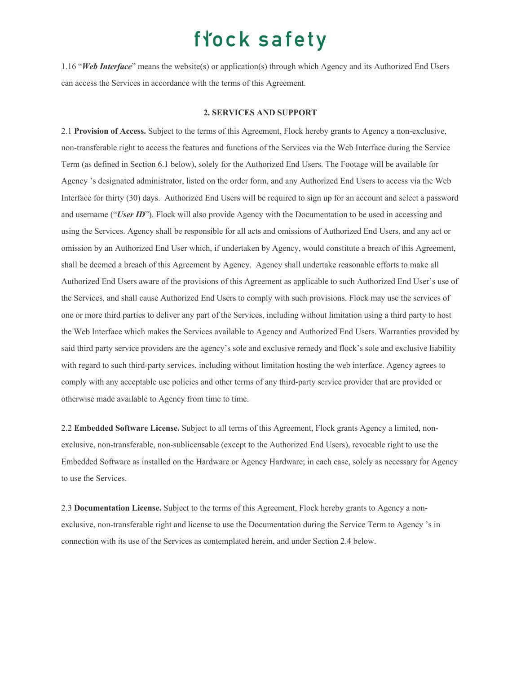1.16 "*Web Interface*" means the website(s) or application(s) through which Agency and its Authorized End Users can access the Services in accordance with the terms of this Agreement.

#### **2. SERVICES AND SUPPORT**

2.1 **Provision of Access.** Subject to the terms of this Agreement, Flock hereby grants to Agency a non-exclusive, non-transferable right to access the features and functions of the Services via the Web Interface during the Service Term (as defined in Section 6.1 below), solely for the Authorized End Users. The Footage will be available for Agency 's designated administrator, listed on the order form, and any Authorized End Users to access via the Web Interface for thirty (30) days. Authorized End Users will be required to sign up for an account and select a password and username ("User ID"). Flock will also provide Agency with the Documentation to be used in accessing and using the Services. Agency shall be responsible for all acts and omissions of Authorized End Users, and any act or omission by an Authorized End User which, if undertaken by Agency, would constitute a breach of this Agreement, shall be deemed a breach of this Agreement by Agency. Agency shall undertake reasonable efforts to make all Authorized End Users aware of the provisions of this Agreement as applicable to such Authorized End User's use of the Services, and shall cause Authorized End Users to comply with such provisions. Flock may use the services of one or more third parties to deliver any part of the Services, including without limitation using a third party to host the Web Interface which makes the Services available to Agency and Authorized End Users. Warranties provided by said third party service providers are the agency's sole and exclusive remedy and flock's sole and exclusive liability with regard to such third-party services, including without limitation hosting the web interface. Agency agrees to comply with any acceptable use policies and other terms of any third-party service provider that are provided or otherwise made available to Agency from time to time.

2.2 **Embedded Software License.** Subject to all terms of this Agreement, Flock grants Agency a limited, nonexclusive, non-transferable, non-sublicensable (except to the Authorized End Users), revocable right to use the Embedded Software as installed on the Hardware or Agency Hardware; in each case, solely as necessary for Agency to use the Services.

2.3 **Documentation License.** Subject to the terms of this Agreement, Flock hereby grants to Agency a nonexclusive, non-transferable right and license to use the Documentation during the Service Term to Agency 's in connection with its use of the Services as contemplated herein, and under Section 2.4 below.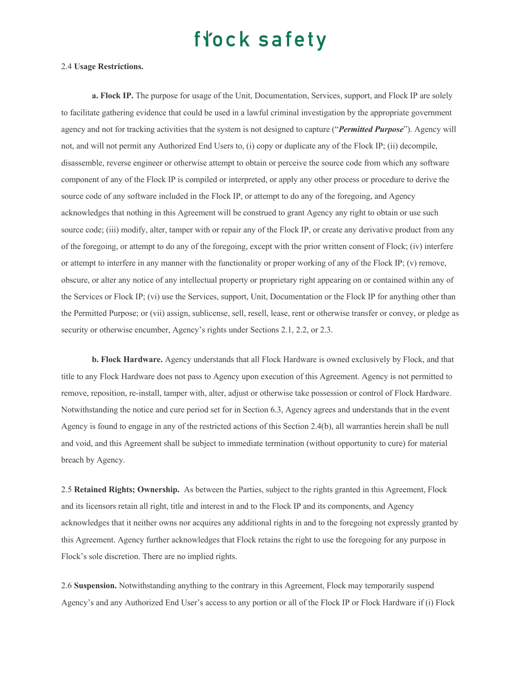#### 2.4 **Usage Restrictions.**

**a. Flock IP.** The purpose for usage of the Unit, Documentation, Services, support, and Flock IP are solely to facilitate gathering evidence that could be used in a lawful criminal investigation by the appropriate government agency and not for tracking activities that the system is not designed to capture ("*Permitted Purpose*"). Agency will not, and will not permit any Authorized End Users to, (i) copy or duplicate any of the Flock IP; (ii) decompile, disassemble, reverse engineer or otherwise attempt to obtain or perceive the source code from which any software component of any of the Flock IP is compiled or interpreted, or apply any other process or procedure to derive the source code of any software included in the Flock IP, or attempt to do any of the foregoing, and Agency acknowledges that nothing in this Agreement will be construed to grant Agency any right to obtain or use such source code; (iii) modify, alter, tamper with or repair any of the Flock IP, or create any derivative product from any of the foregoing, or attempt to do any of the foregoing, except with the prior written consent of Flock; (iv) interfere or attempt to interfere in any manner with the functionality or proper working of any of the Flock IP; (v) remove, obscure, or alter any notice of any intellectual property or proprietary right appearing on or contained within any of the Services or Flock IP; (vi) use the Services, support, Unit, Documentation or the Flock IP for anything other than the Permitted Purpose; or (vii) assign, sublicense, sell, resell, lease, rent or otherwise transfer or convey, or pledge as security or otherwise encumber, Agency's rights under Sections 2.1, 2.2, or 2.3.

**b. Flock Hardware.** Agency understands that all Flock Hardware is owned exclusively by Flock, and that title to any Flock Hardware does not pass to Agency upon execution of this Agreement. Agency is not permitted to remove, reposition, re-install, tamper with, alter, adjust or otherwise take possession or control of Flock Hardware. Notwithstanding the notice and cure period set for in Section 6.3, Agency agrees and understands that in the event Agency is found to engage in any of the restricted actions of this Section 2.4(b), all warranties herein shall be null and void, and this Agreement shall be subject to immediate termination (without opportunity to cure) for material breach by Agency.

2.5 **Retained Rights; Ownership.** As between the Parties, subject to the rights granted in this Agreement, Flock and its licensors retain all right, title and interest in and to the Flock IP and its components, and Agency acknowledges that it neither owns nor acquires any additional rights in and to the foregoing not expressly granted by this Agreement. Agency further acknowledges that Flock retains the right to use the foregoing for any purpose in Flock's sole discretion. There are no implied rights.

2.6 **Suspension.** Notwithstanding anything to the contrary in this Agreement, Flock may temporarily suspend Agency's and any Authorized End User's access to any portion or all of the Flock IP or Flock Hardware if (i) Flock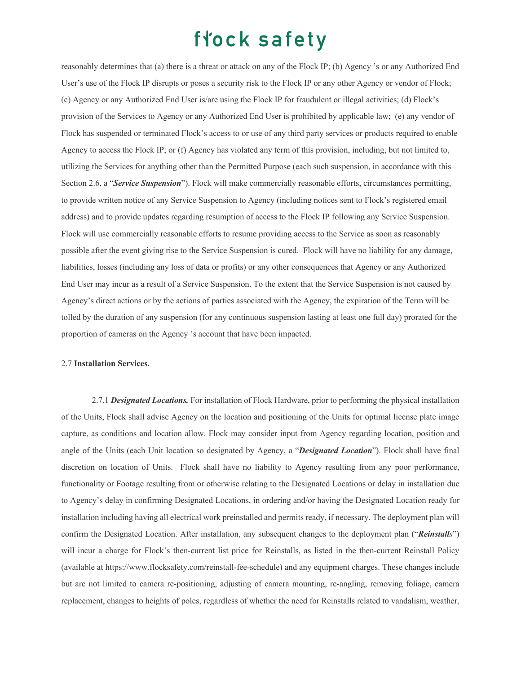reasonably determines that (a) there is a threat or attack on any of the Flock IP; (b) Agency 's or any Authorized End User's use of the Flock IP disrupts or poses a security risk to the Flock IP or any other Agency or vendor of Flock; (c) Agency or any Authorized End User is/are using the Flock IP for fraudulent or illegal activities; (d) Flock's provision of the Services to Agency or any Authorized End User is prohibited by applicable law; (e) any vendor of Flock has suspended or terminated Flock's access to or use of any third party services or products required to enable Agency to access the Flock IP; or (f) Agency has violated any term of this provision, including, but not limited to, utilizing the Services for anything other than the Permitted Purpose (each such suspension, in accordance with this Section 2.6, a "*Service Suspension*"). Flock will make commercially reasonable efforts, circumstances permitting, to provide written notice of any Service Suspension to Agency (including notices sent to Flock's registered email address) and to provide updates regarding resumption of access to the Flock IP following any Service Suspension. Flock will use commercially reasonable efforts to resume providing access to the Service as soon as reasonably possible after the event giving rise to the Service Suspension is cured. Flock will have no liability for any damage, liabilities, losses (including any loss of data or profits) or any other consequences that Agency or any Authorized End User may incur as a result of a Service Suspension. To the extent that the Service Suspension is not caused by Agency's direct actions or by the actions of parties associated with the Agency, the expiration of the Term will be tolled by the duration of any suspension (for any continuous suspension lasting at least one full day) prorated for the proportion of cameras on the Agency 's account that have been impacted.

#### 2.7 **Installation Services.**

2.7.1 *Designated Locations.* For installation of Flock Hardware, prior to performing the physical installation of the Units, Flock shall advise Agency on the location and positioning of the Units for optimal license plate image capture, as conditions and location allow. Flock may consider input from Agency regarding location, position and angle of the Units (each Unit location so designated by Agency, a "*Designated Location*"). Flock shall have final discretion on location of Units. Flock shall have no liability to Agency resulting from any poor performance, functionality or Footage resulting from or otherwise relating to the Designated Locations or delay in installation due to Agency's delay in confirming Designated Locations, in ordering and/or having the Designated Location ready for installation including having all electrical work preinstalled and permits ready, if necessary. The deployment plan will confirm the Designated Location. After installation, any subsequent changes to the deployment plan ("*Reinstalls*") will incur a charge for Flock's then-current list price for Reinstalls, as listed in the then-current Reinstall Policy (available at https://www.flocksafety.com/reinstall-fee-schedule) and any equipment charges. These changes include but are not limited to camera re-positioning, adjusting of camera mounting, re-angling, removing foliage, camera replacement, changes to heights of poles, regardless of whether the need for Reinstalls related to vandalism, weather,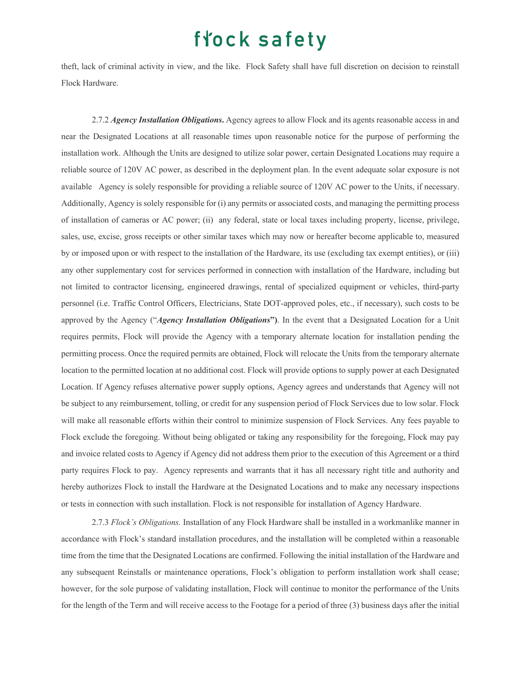theft, lack of criminal activity in view, and the like. Flock Safety shall have full discretion on decision to reinstall Flock Hardware.

2.7.2 *Agency Installation Obligations***.** Agency agrees to allow Flock and its agents reasonable access in and near the Designated Locations at all reasonable times upon reasonable notice for the purpose of performing the installation work. Although the Units are designed to utilize solar power, certain Designated Locations may require a reliable source of 120V AC power, as described in the deployment plan. In the event adequate solar exposure is not available Agency is solely responsible for providing a reliable source of 120V AC power to the Units, if necessary. Additionally, Agency is solely responsible for (i) any permits or associated costs, and managing the permitting process of installation of cameras or AC power; (ii) any federal, state or local taxes including property, license, privilege, sales, use, excise, gross receipts or other similar taxes which may now or hereafter become applicable to, measured by or imposed upon or with respect to the installation of the Hardware, its use (excluding tax exempt entities), or (iii) any other supplementary cost for services performed in connection with installation of the Hardware, including but not limited to contractor licensing, engineered drawings, rental of specialized equipment or vehicles, third-party personnel (i.e. Traffic Control Officers, Electricians, State DOT-approved poles, etc., if necessary), such costs to be approved by the Agency ("*Agency Installation Obligations***")**. In the event that a Designated Location for a Unit requires permits, Flock will provide the Agency with a temporary alternate location for installation pending the permitting process. Once the required permits are obtained, Flock will relocate the Units from the temporary alternate location to the permitted location at no additional cost. Flock will provide options to supply power at each Designated Location. If Agency refuses alternative power supply options, Agency agrees and understands that Agency will not be subject to any reimbursement, tolling, or credit for any suspension period of Flock Services due to low solar. Flock will make all reasonable efforts within their control to minimize suspension of Flock Services. Any fees payable to Flock exclude the foregoing. Without being obligated or taking any responsibility for the foregoing, Flock may pay and invoice related costs to Agency if Agency did not address them prior to the execution of this Agreement or a third party requires Flock to pay. Agency represents and warrants that it has all necessary right title and authority and hereby authorizes Flock to install the Hardware at the Designated Locations and to make any necessary inspections or tests in connection with such installation. Flock is not responsible for installation of Agency Hardware.

2.7.3 *Flock's Obligations.* Installation of any Flock Hardware shall be installed in a workmanlike manner in accordance with Flock's standard installation procedures, and the installation will be completed within a reasonable time from the time that the Designated Locations are confirmed. Following the initial installation of the Hardware and any subsequent Reinstalls or maintenance operations, Flock's obligation to perform installation work shall cease; however, for the sole purpose of validating installation, Flock will continue to monitor the performance of the Units for the length of the Term and will receive access to the Footage for a period of three (3) business days after the initial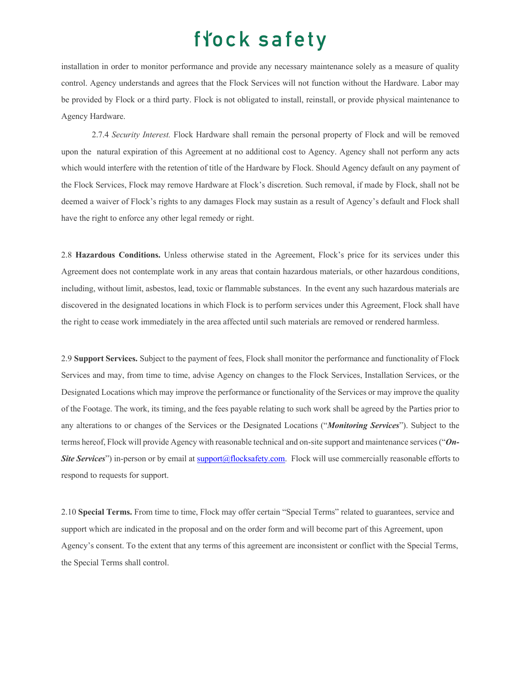installation in order to monitor performance and provide any necessary maintenance solely as a measure of quality control. Agency understands and agrees that the Flock Services will not function without the Hardware. Labor may be provided by Flock or a third party. Flock is not obligated to install, reinstall, or provide physical maintenance to Agency Hardware.

2.7.4 *Security Interest.* Flock Hardware shall remain the personal property of Flock and will be removed upon the natural expiration of this Agreement at no additional cost to Agency. Agency shall not perform any acts which would interfere with the retention of title of the Hardware by Flock. Should Agency default on any payment of the Flock Services, Flock may remove Hardware at Flock's discretion. Such removal, if made by Flock, shall not be deemed a waiver of Flock's rights to any damages Flock may sustain as a result of Agency's default and Flock shall have the right to enforce any other legal remedy or right.

2.8 **Hazardous Conditions.** Unless otherwise stated in the Agreement, Flock's price for its services under this Agreement does not contemplate work in any areas that contain hazardous materials, or other hazardous conditions, including, without limit, asbestos, lead, toxic or flammable substances. In the event any such hazardous materials are discovered in the designated locations in which Flock is to perform services under this Agreement, Flock shall have the right to cease work immediately in the area affected until such materials are removed or rendered harmless.

2.9 **Support Services.** Subject to the payment of fees, Flock shall monitor the performance and functionality of Flock Services and may, from time to time, advise Agency on changes to the Flock Services, Installation Services, or the Designated Locations which may improve the performance or functionality of the Services or may improve the quality of the Footage. The work, its timing, and the fees payable relating to such work shall be agreed by the Parties prior to any alterations to or changes of the Services or the Designated Locations ("*Monitoring Services*"). Subject to the terms hereof, Flock will provide Agency with reasonable technical and on-site support and maintenance services ("*On-Site Services*") in-person or by email at support@flocksafety.com. Flock will use commercially reasonable efforts to respond to requests for support.

2.10 **Special Terms.** From time to time, Flock may offer certain "Special Terms" related to guarantees, service and support which are indicated in the proposal and on the order form and will become part of this Agreement, upon Agency's consent. To the extent that any terms of this agreement are inconsistent or conflict with the Special Terms, the Special Terms shall control.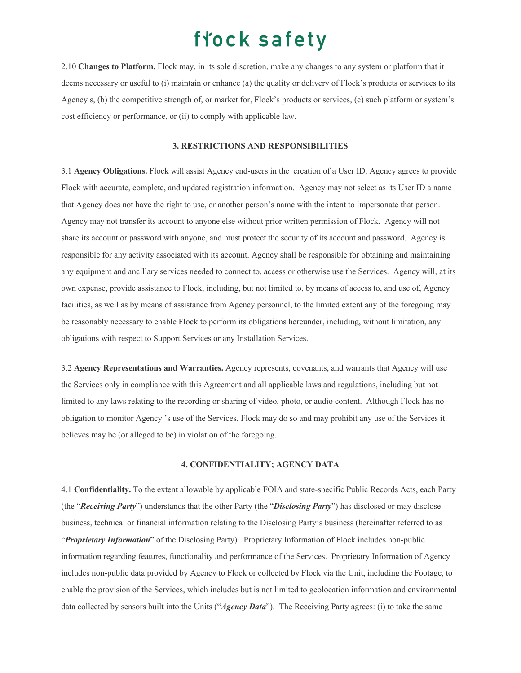2.10 **Changes to Platform.** Flock may, in its sole discretion, make any changes to any system or platform that it deems necessary or useful to (i) maintain or enhance (a) the quality or delivery of Flock's products or services to its Agency s, (b) the competitive strength of, or market for, Flock's products or services, (c) such platform or system's cost efficiency or performance, or (ii) to comply with applicable law.

#### **3. RESTRICTIONS AND RESPONSIBILITIES**

3.1 **Agency Obligations.** Flock will assist Agency end-users in the creation of a User ID. Agency agrees to provide Flock with accurate, complete, and updated registration information. Agency may not select as its User ID a name that Agency does not have the right to use, or another person's name with the intent to impersonate that person. Agency may not transfer its account to anyone else without prior written permission of Flock. Agency will not share its account or password with anyone, and must protect the security of its account and password. Agency is responsible for any activity associated with its account. Agency shall be responsible for obtaining and maintaining any equipment and ancillary services needed to connect to, access or otherwise use the Services. Agency will, at its own expense, provide assistance to Flock, including, but not limited to, by means of access to, and use of, Agency facilities, as well as by means of assistance from Agency personnel, to the limited extent any of the foregoing may be reasonably necessary to enable Flock to perform its obligations hereunder, including, without limitation, any obligations with respect to Support Services or any Installation Services.

3.2 **Agency Representations and Warranties.** Agency represents, covenants, and warrants that Agency will use the Services only in compliance with this Agreement and all applicable laws and regulations, including but not limited to any laws relating to the recording or sharing of video, photo, or audio content. Although Flock has no obligation to monitor Agency 's use of the Services, Flock may do so and may prohibit any use of the Services it believes may be (or alleged to be) in violation of the foregoing.

### **4. CONFIDENTIALITY; AGENCY DATA**

4.1 **Confidentiality.** To the extent allowable by applicable FOIA and state-specific Public Records Acts, each Party (the "*Receiving Party*") understands that the other Party (the "*Disclosing Party*") has disclosed or may disclose business, technical or financial information relating to the Disclosing Party's business (hereinafter referred to as "*Proprietary Information*" of the Disclosing Party). Proprietary Information of Flock includes non-public information regarding features, functionality and performance of the Services. Proprietary Information of Agency includes non-public data provided by Agency to Flock or collected by Flock via the Unit, including the Footage, to enable the provision of the Services, which includes but is not limited to geolocation information and environmental data collected by sensors built into the Units ("*Agency Data*"). The Receiving Party agrees: (i) to take the same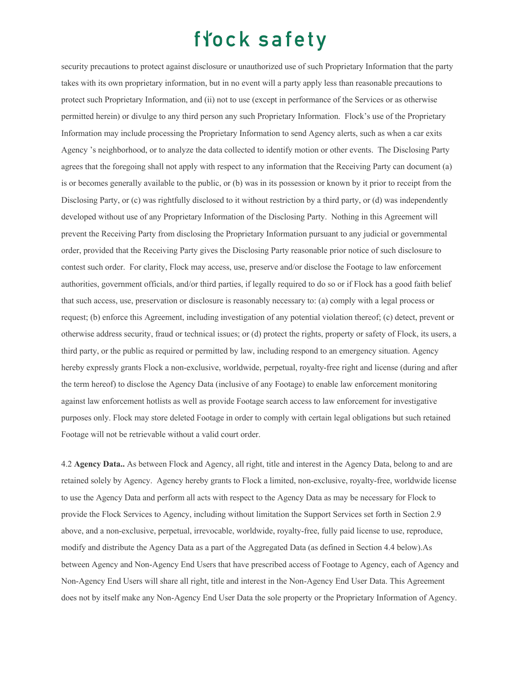security precautions to protect against disclosure or unauthorized use of such Proprietary Information that the party takes with its own proprietary information, but in no event will a party apply less than reasonable precautions to protect such Proprietary Information, and (ii) not to use (except in performance of the Services or as otherwise permitted herein) or divulge to any third person any such Proprietary Information. Flock's use of the Proprietary Information may include processing the Proprietary Information to send Agency alerts, such as when a car exits Agency 's neighborhood, or to analyze the data collected to identify motion or other events. The Disclosing Party agrees that the foregoing shall not apply with respect to any information that the Receiving Party can document (a) is or becomes generally available to the public, or (b) was in its possession or known by it prior to receipt from the Disclosing Party, or (c) was rightfully disclosed to it without restriction by a third party, or (d) was independently developed without use of any Proprietary Information of the Disclosing Party. Nothing in this Agreement will prevent the Receiving Party from disclosing the Proprietary Information pursuant to any judicial or governmental order, provided that the Receiving Party gives the Disclosing Party reasonable prior notice of such disclosure to contest such order. For clarity, Flock may access, use, preserve and/or disclose the Footage to law enforcement authorities, government officials, and/or third parties, if legally required to do so or if Flock has a good faith belief that such access, use, preservation or disclosure is reasonably necessary to: (a) comply with a legal process or request; (b) enforce this Agreement, including investigation of any potential violation thereof; (c) detect, prevent or otherwise address security, fraud or technical issues; or (d) protect the rights, property or safety of Flock, its users, a third party, or the public as required or permitted by law, including respond to an emergency situation. Agency hereby expressly grants Flock a non-exclusive, worldwide, perpetual, royalty-free right and license (during and after the term hereof) to disclose the Agency Data (inclusive of any Footage) to enable law enforcement monitoring against law enforcement hotlists as well as provide Footage search access to law enforcement for investigative purposes only. Flock may store deleted Footage in order to comply with certain legal obligations but such retained Footage will not be retrievable without a valid court order.

4.2 **Agency Data..** As between Flock and Agency, all right, title and interest in the Agency Data, belong to and are retained solely by Agency. Agency hereby grants to Flock a limited, non-exclusive, royalty-free, worldwide license to use the Agency Data and perform all acts with respect to the Agency Data as may be necessary for Flock to provide the Flock Services to Agency, including without limitation the Support Services set forth in Section 2.9 above, and a non-exclusive, perpetual, irrevocable, worldwide, royalty-free, fully paid license to use, reproduce, modify and distribute the Agency Data as a part of the Aggregated Data (as defined in Section 4.4 below).As between Agency and Non-Agency End Users that have prescribed access of Footage to Agency, each of Agency and Non-Agency End Users will share all right, title and interest in the Non-Agency End User Data. This Agreement does not by itself make any Non-Agency End User Data the sole property or the Proprietary Information of Agency.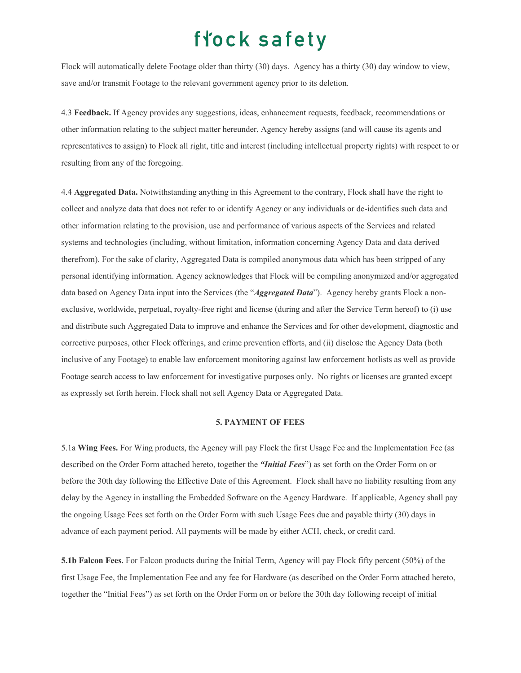Flock will automatically delete Footage older than thirty (30) days. Agency has a thirty (30) day window to view, save and/or transmit Footage to the relevant government agency prior to its deletion.

4.3 **Feedback.** If Agency provides any suggestions, ideas, enhancement requests, feedback, recommendations or other information relating to the subject matter hereunder, Agency hereby assigns (and will cause its agents and representatives to assign) to Flock all right, title and interest (including intellectual property rights) with respect to or resulting from any of the foregoing.

4.4 **Aggregated Data.** Notwithstanding anything in this Agreement to the contrary, Flock shall have the right to collect and analyze data that does not refer to or identify Agency or any individuals or de-identifies such data and other information relating to the provision, use and performance of various aspects of the Services and related systems and technologies (including, without limitation, information concerning Agency Data and data derived therefrom). For the sake of clarity, Aggregated Data is compiled anonymous data which has been stripped of any personal identifying information. Agency acknowledges that Flock will be compiling anonymized and/or aggregated data based on Agency Data input into the Services (the "*Aggregated Data*"). Agency hereby grants Flock a nonexclusive, worldwide, perpetual, royalty-free right and license (during and after the Service Term hereof) to (i) use and distribute such Aggregated Data to improve and enhance the Services and for other development, diagnostic and corrective purposes, other Flock offerings, and crime prevention efforts, and (ii) disclose the Agency Data (both inclusive of any Footage) to enable law enforcement monitoring against law enforcement hotlists as well as provide Footage search access to law enforcement for investigative purposes only. No rights or licenses are granted except as expressly set forth herein. Flock shall not sell Agency Data or Aggregated Data.

### **5. PAYMENT OF FEES**

5.1a **Wing Fees.** For Wing products, the Agency will pay Flock the first Usage Fee and the Implementation Fee (as described on the Order Form attached hereto, together the *"Initial Fees*") as set forth on the Order Form on or before the 30th day following the Effective Date of this Agreement. Flock shall have no liability resulting from any delay by the Agency in installing the Embedded Software on the Agency Hardware. If applicable, Agency shall pay the ongoing Usage Fees set forth on the Order Form with such Usage Fees due and payable thirty (30) days in advance of each payment period. All payments will be made by either ACH, check, or credit card.

**5.1b Falcon Fees.** For Falcon products during the Initial Term, Agency will pay Flock fifty percent (50%) of the first Usage Fee, the Implementation Fee and any fee for Hardware (as described on the Order Form attached hereto, together the "Initial Fees") as set forth on the Order Form on or before the 30th day following receipt of initial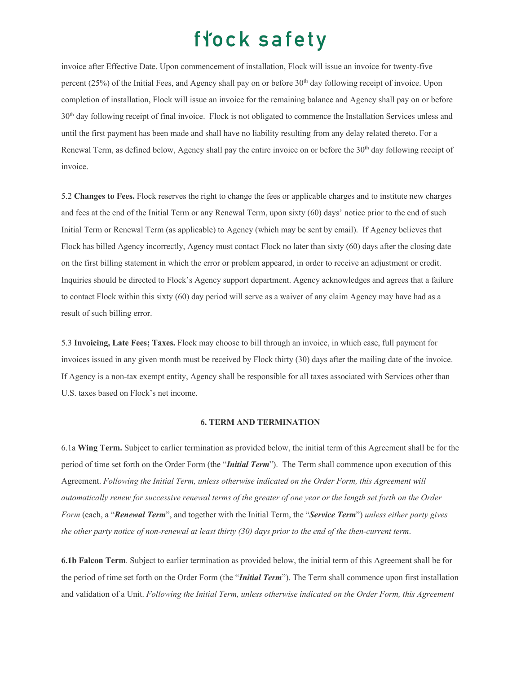invoice after Effective Date. Upon commencement of installation, Flock will issue an invoice for twenty-five percent  $(25%)$  of the Initial Fees, and Agency shall pay on or before  $30<sup>th</sup>$  day following receipt of invoice. Upon completion of installation, Flock will issue an invoice for the remaining balance and Agency shall pay on or before 30th day following receipt of final invoice. Flock is not obligated to commence the Installation Services unless and until the first payment has been made and shall have no liability resulting from any delay related thereto. For a Renewal Term, as defined below, Agency shall pay the entire invoice on or before the 30<sup>th</sup> day following receipt of invoice.

5.2 **Changes to Fees.** Flock reserves the right to change the fees or applicable charges and to institute new charges and fees at the end of the Initial Term or any Renewal Term, upon sixty (60) days' notice prior to the end of such Initial Term or Renewal Term (as applicable) to Agency (which may be sent by email). If Agency believes that Flock has billed Agency incorrectly, Agency must contact Flock no later than sixty (60) days after the closing date on the first billing statement in which the error or problem appeared, in order to receive an adjustment or credit. Inquiries should be directed to Flock's Agency support department. Agency acknowledges and agrees that a failure to contact Flock within this sixty (60) day period will serve as a waiver of any claim Agency may have had as a result of such billing error.

5.3 **Invoicing, Late Fees; Taxes.** Flock may choose to bill through an invoice, in which case, full payment for invoices issued in any given month must be received by Flock thirty (30) days after the mailing date of the invoice. If Agency is a non-tax exempt entity, Agency shall be responsible for all taxes associated with Services other than U.S. taxes based on Flock's net income.

### **6. TERM AND TERMINATION**

6.1a **Wing Term.** Subject to earlier termination as provided below, the initial term of this Agreement shall be for the period of time set forth on the Order Form (the "*Initial Term*"). The Term shall commence upon execution of this Agreement. *Following the Initial Term, unless otherwise indicated on the Order Form, this Agreement will automatically renew for successive renewal terms of the greater of one year or the length set forth on the Order Form* (each, a "*Renewal Term*", and together with the Initial Term, the "*Service Term*") *unless either party gives the other party notice of non-renewal at least thirty (30) days prior to the end of the then-current term*.

**6.1b Falcon Term**. Subject to earlier termination as provided below, the initial term of this Agreement shall be for the period of time set forth on the Order Form (the "*Initial Term*"). The Term shall commence upon first installation and validation of a Unit. *Following the Initial Term, unless otherwise indicated on the Order Form, this Agreement*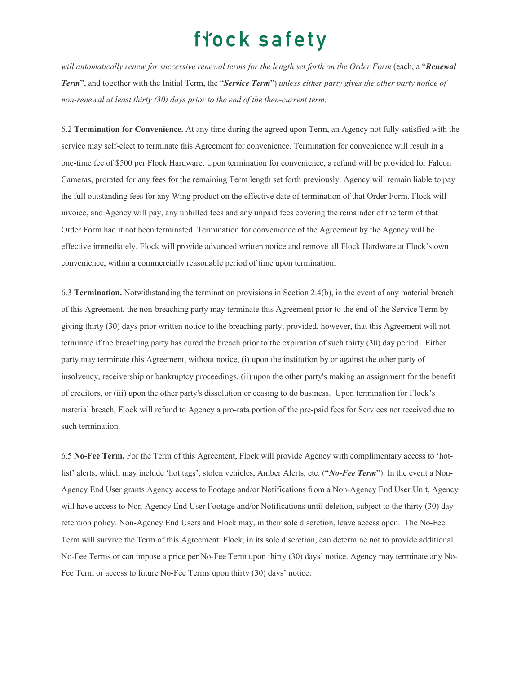*will automatically renew for successive renewal terms for the length set forth on the Order Form* (each, a "*Renewal Term*", and together with the Initial Term, the "*Service Term*") *unless either party gives the other party notice of non-renewal at least thirty (30) days prior to the end of the then-current term.*

6.2 **Termination for Convenience.** At any time during the agreed upon Term, an Agency not fully satisfied with the service may self-elect to terminate this Agreement for convenience. Termination for convenience will result in a one-time fee of \$500 per Flock Hardware. Upon termination for convenience, a refund will be provided for Falcon Cameras, prorated for any fees for the remaining Term length set forth previously. Agency will remain liable to pay the full outstanding fees for any Wing product on the effective date of termination of that Order Form. Flock will invoice, and Agency will pay, any unbilled fees and any unpaid fees covering the remainder of the term of that Order Form had it not been terminated. Termination for convenience of the Agreement by the Agency will be effective immediately. Flock will provide advanced written notice and remove all Flock Hardware at Flock's own convenience, within a commercially reasonable period of time upon termination.

6.3 **Termination.** Notwithstanding the termination provisions in Section 2.4(b), in the event of any material breach of this Agreement, the non-breaching party may terminate this Agreement prior to the end of the Service Term by giving thirty (30) days prior written notice to the breaching party; provided, however, that this Agreement will not terminate if the breaching party has cured the breach prior to the expiration of such thirty (30) day period. Either party may terminate this Agreement, without notice, (i) upon the institution by or against the other party of insolvency, receivership or bankruptcy proceedings, (ii) upon the other party's making an assignment for the benefit of creditors, or (iii) upon the other party's dissolution or ceasing to do business. Upon termination for Flock's material breach, Flock will refund to Agency a pro-rata portion of the pre-paid fees for Services not received due to such termination.

6.5 **No-Fee Term.** For the Term of this Agreement, Flock will provide Agency with complimentary access to 'hotlist' alerts, which may include 'hot tags', stolen vehicles, Amber Alerts, etc. ("*No-Fee Term*"). In the event a Non-Agency End User grants Agency access to Footage and/or Notifications from a Non-Agency End User Unit, Agency will have access to Non-Agency End User Footage and/or Notifications until deletion, subject to the thirty (30) day retention policy. Non-Agency End Users and Flock may, in their sole discretion, leave access open. The No-Fee Term will survive the Term of this Agreement. Flock, in its sole discretion, can determine not to provide additional No-Fee Terms or can impose a price per No-Fee Term upon thirty (30) days' notice. Agency may terminate any No-Fee Term or access to future No-Fee Terms upon thirty (30) days' notice.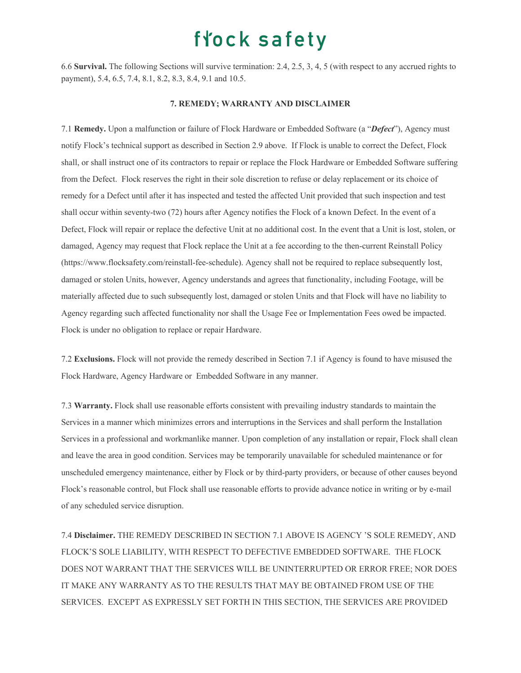6.6 **Survival.** The following Sections will survive termination: 2.4, 2.5, 3, 4, 5 (with respect to any accrued rights to payment), 5.4, 6.5, 7.4, 8.1, 8.2, 8.3, 8.4, 9.1 and 10.5.

#### **7. REMEDY; WARRANTY AND DISCLAIMER**

7.1 **Remedy.** Upon a malfunction or failure of Flock Hardware or Embedded Software (a "*Defect*"), Agency must notify Flock's technical support as described in Section 2.9 above. If Flock is unable to correct the Defect, Flock shall, or shall instruct one of its contractors to repair or replace the Flock Hardware or Embedded Software suffering from the Defect. Flock reserves the right in their sole discretion to refuse or delay replacement or its choice of remedy for a Defect until after it has inspected and tested the affected Unit provided that such inspection and test shall occur within seventy-two (72) hours after Agency notifies the Flock of a known Defect. In the event of a Defect, Flock will repair or replace the defective Unit at no additional cost. In the event that a Unit is lost, stolen, or damaged, Agency may request that Flock replace the Unit at a fee according to the then-current Reinstall Policy (https://www.flocksafety.com/reinstall-fee-schedule). Agency shall not be required to replace subsequently lost, damaged or stolen Units, however, Agency understands and agrees that functionality, including Footage, will be materially affected due to such subsequently lost, damaged or stolen Units and that Flock will have no liability to Agency regarding such affected functionality nor shall the Usage Fee or Implementation Fees owed be impacted. Flock is under no obligation to replace or repair Hardware.

7.2 **Exclusions.** Flock will not provide the remedy described in Section 7.1 if Agency is found to have misused the Flock Hardware, Agency Hardware or Embedded Software in any manner.

7.3 **Warranty.** Flock shall use reasonable efforts consistent with prevailing industry standards to maintain the Services in a manner which minimizes errors and interruptions in the Services and shall perform the Installation Services in a professional and workmanlike manner. Upon completion of any installation or repair, Flock shall clean and leave the area in good condition. Services may be temporarily unavailable for scheduled maintenance or for unscheduled emergency maintenance, either by Flock or by third-party providers, or because of other causes beyond Flock's reasonable control, but Flock shall use reasonable efforts to provide advance notice in writing or by e-mail of any scheduled service disruption.

7.4 **Disclaimer.** THE REMEDY DESCRIBED IN SECTION 7.1 ABOVE IS AGENCY 'S SOLE REMEDY, AND FLOCK'S SOLE LIABILITY, WITH RESPECT TO DEFECTIVE EMBEDDED SOFTWARE. THE FLOCK DOES NOT WARRANT THAT THE SERVICES WILL BE UNINTERRUPTED OR ERROR FREE; NOR DOES IT MAKE ANY WARRANTY AS TO THE RESULTS THAT MAY BE OBTAINED FROM USE OF THE SERVICES. EXCEPT AS EXPRESSLY SET FORTH IN THIS SECTION, THE SERVICES ARE PROVIDED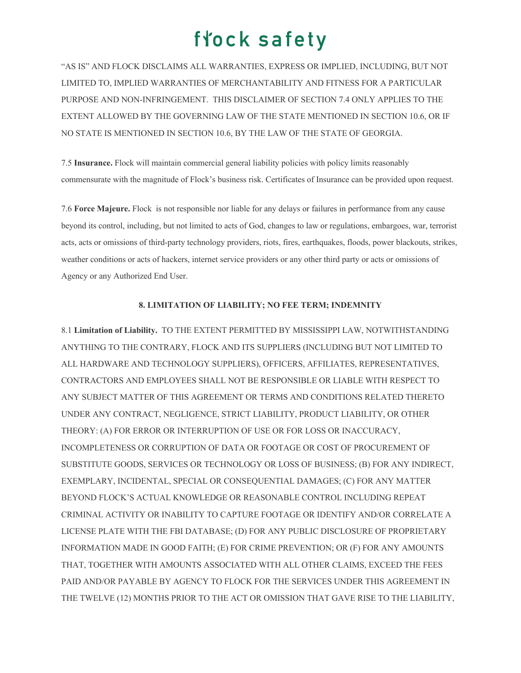"AS IS" AND FLOCK DISCLAIMS ALL WARRANTIES, EXPRESS OR IMPLIED, INCLUDING, BUT NOT LIMITED TO, IMPLIED WARRANTIES OF MERCHANTABILITY AND FITNESS FOR A PARTICULAR PURPOSE AND NON-INFRINGEMENT. THIS DISCLAIMER OF SECTION 7.4 ONLY APPLIES TO THE EXTENT ALLOWED BY THE GOVERNING LAW OF THE STATE MENTIONED IN SECTION 10.6, OR IF NO STATE IS MENTIONED IN SECTION 10.6, BY THE LAW OF THE STATE OF GEORGIA.

7.5 **Insurance.** Flock will maintain commercial general liability policies with policy limits reasonably commensurate with the magnitude of Flock's business risk. Certificates of Insurance can be provided upon request.

7.6 **Force Majeure.** Flock is not responsible nor liable for any delays or failures in performance from any cause beyond its control, including, but not limited to acts of God, changes to law or regulations, embargoes, war, terrorist acts, acts or omissions of third-party technology providers, riots, fires, earthquakes, floods, power blackouts, strikes, weather conditions or acts of hackers, internet service providers or any other third party or acts or omissions of Agency or any Authorized End User.

### **8. LIMITATION OF LIABILITY; NO FEE TERM; INDEMNITY**

8.1 **Limitation of Liability.** TO THE EXTENT PERMITTED BY MISSISSIPPI LAW, NOTWITHSTANDING ANYTHING TO THE CONTRARY, FLOCK AND ITS SUPPLIERS (INCLUDING BUT NOT LIMITED TO ALL HARDWARE AND TECHNOLOGY SUPPLIERS), OFFICERS, AFFILIATES, REPRESENTATIVES, CONTRACTORS AND EMPLOYEES SHALL NOT BE RESPONSIBLE OR LIABLE WITH RESPECT TO ANY SUBJECT MATTER OF THIS AGREEMENT OR TERMS AND CONDITIONS RELATED THERETO UNDER ANY CONTRACT, NEGLIGENCE, STRICT LIABILITY, PRODUCT LIABILITY, OR OTHER THEORY: (A) FOR ERROR OR INTERRUPTION OF USE OR FOR LOSS OR INACCURACY, INCOMPLETENESS OR CORRUPTION OF DATA OR FOOTAGE OR COST OF PROCUREMENT OF SUBSTITUTE GOODS, SERVICES OR TECHNOLOGY OR LOSS OF BUSINESS; (B) FOR ANY INDIRECT, EXEMPLARY, INCIDENTAL, SPECIAL OR CONSEQUENTIAL DAMAGES; (C) FOR ANY MATTER BEYOND FLOCK'S ACTUAL KNOWLEDGE OR REASONABLE CONTROL INCLUDING REPEAT CRIMINAL ACTIVITY OR INABILITY TO CAPTURE FOOTAGE OR IDENTIFY AND/OR CORRELATE A LICENSE PLATE WITH THE FBI DATABASE; (D) FOR ANY PUBLIC DISCLOSURE OF PROPRIETARY INFORMATION MADE IN GOOD FAITH; (E) FOR CRIME PREVENTION; OR (F) FOR ANY AMOUNTS THAT, TOGETHER WITH AMOUNTS ASSOCIATED WITH ALL OTHER CLAIMS, EXCEED THE FEES PAID AND/OR PAYABLE BY AGENCY TO FLOCK FOR THE SERVICES UNDER THIS AGREEMENT IN THE TWELVE (12) MONTHS PRIOR TO THE ACT OR OMISSION THAT GAVE RISE TO THE LIABILITY,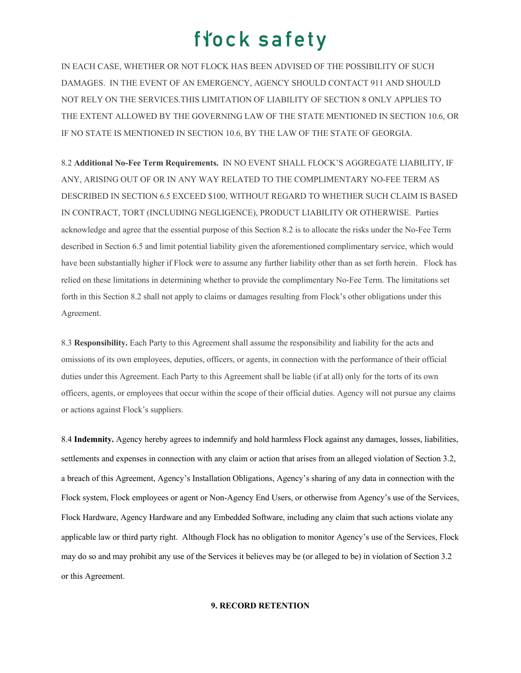IN EACH CASE, WHETHER OR NOT FLOCK HAS BEEN ADVISED OF THE POSSIBILITY OF SUCH DAMAGES. IN THE EVENT OF AN EMERGENCY, AGENCY SHOULD CONTACT 911 AND SHOULD NOT RELY ON THE SERVICES.THIS LIMITATION OF LIABILITY OF SECTION 8 ONLY APPLIES TO THE EXTENT ALLOWED BY THE GOVERNING LAW OF THE STATE MENTIONED IN SECTION 10.6, OR IF NO STATE IS MENTIONED IN SECTION 10.6, BY THE LAW OF THE STATE OF GEORGIA.

8.2 **Additional No-Fee Term Requirements.** IN NO EVENT SHALL FLOCK'S AGGREGATE LIABILITY, IF ANY, ARISING OUT OF OR IN ANY WAY RELATED TO THE COMPLIMENTARY NO-FEE TERM AS DESCRIBED IN SECTION 6.5 EXCEED \$100, WITHOUT REGARD TO WHETHER SUCH CLAIM IS BASED IN CONTRACT, TORT (INCLUDING NEGLIGENCE), PRODUCT LIABILITY OR OTHERWISE. Parties acknowledge and agree that the essential purpose of this Section 8.2 is to allocate the risks under the No-Fee Term described in Section 6.5 and limit potential liability given the aforementioned complimentary service, which would have been substantially higher if Flock were to assume any further liability other than as set forth herein. Flock has relied on these limitations in determining whether to provide the complimentary No-Fee Term. The limitations set forth in this Section 8.2 shall not apply to claims or damages resulting from Flock's other obligations under this Agreement.

8.3 **Responsibility.** Each Party to this Agreement shall assume the responsibility and liability for the acts and omissions of its own employees, deputies, officers, or agents, in connection with the performance of their official duties under this Agreement. Each Party to this Agreement shall be liable (if at all) only for the torts of its own officers, agents, or employees that occur within the scope of their official duties. Agency will not pursue any claims or actions against Flock's suppliers.

8.4 **Indemnity.** Agency hereby agrees to indemnify and hold harmless Flock against any damages, losses, liabilities, settlements and expenses in connection with any claim or action that arises from an alleged violation of Section 3.2, a breach of this Agreement, Agency's Installation Obligations, Agency's sharing of any data in connection with the Flock system, Flock employees or agent or Non-Agency End Users, or otherwise from Agency's use of the Services, Flock Hardware, Agency Hardware and any Embedded Software, including any claim that such actions violate any applicable law or third party right. Although Flock has no obligation to monitor Agency's use of the Services, Flock may do so and may prohibit any use of the Services it believes may be (or alleged to be) in violation of Section 3.2 or this Agreement.

### **9. RECORD RETENTION**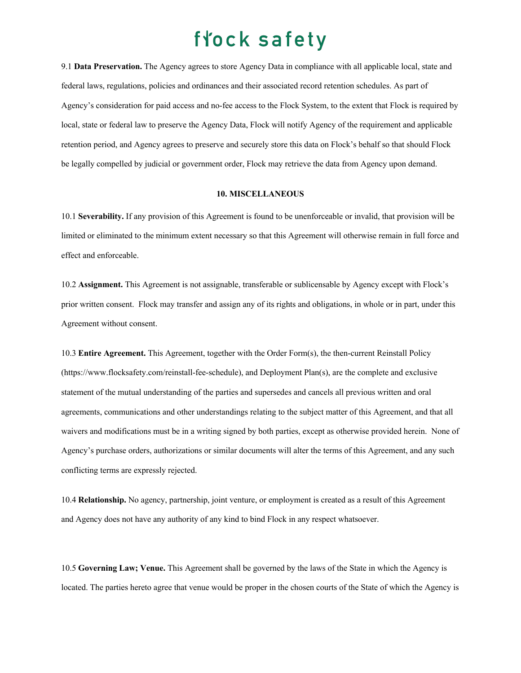9.1 **Data Preservation.** The Agency agrees to store Agency Data in compliance with all applicable local, state and federal laws, regulations, policies and ordinances and their associated record retention schedules. As part of Agency's consideration for paid access and no-fee access to the Flock System, to the extent that Flock is required by local, state or federal law to preserve the Agency Data, Flock will notify Agency of the requirement and applicable retention period, and Agency agrees to preserve and securely store this data on Flock's behalf so that should Flock be legally compelled by judicial or government order, Flock may retrieve the data from Agency upon demand.

### **10. MISCELLANEOUS**

10.1 **Severability.** If any provision of this Agreement is found to be unenforceable or invalid, that provision will be limited or eliminated to the minimum extent necessary so that this Agreement will otherwise remain in full force and effect and enforceable.

10.2 **Assignment.** This Agreement is not assignable, transferable or sublicensable by Agency except with Flock's prior written consent. Flock may transfer and assign any of its rights and obligations, in whole or in part, under this Agreement without consent.

10.3 **Entire Agreement.** This Agreement, together with the Order Form(s), the then-current Reinstall Policy (https://www.flocksafety.com/reinstall-fee-schedule), and Deployment Plan(s), are the complete and exclusive statement of the mutual understanding of the parties and supersedes and cancels all previous written and oral agreements, communications and other understandings relating to the subject matter of this Agreement, and that all waivers and modifications must be in a writing signed by both parties, except as otherwise provided herein. None of Agency's purchase orders, authorizations or similar documents will alter the terms of this Agreement, and any such conflicting terms are expressly rejected.

10.4 **Relationship.** No agency, partnership, joint venture, or employment is created as a result of this Agreement and Agency does not have any authority of any kind to bind Flock in any respect whatsoever.

10.5 **Governing Law; Venue.** This Agreement shall be governed by the laws of the State in which the Agency is located. The parties hereto agree that venue would be proper in the chosen courts of the State of which the Agency is